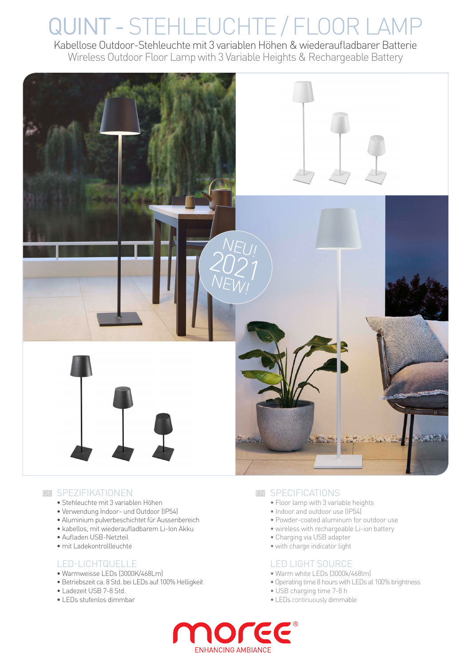# QUINT - STEHLEUCHTE / FLOOR LAMP

Kabellose Outdoor-Stehleuchte mit 3 variablen Höhen & wiederaufladbarer Batterie Wireless Outdoor Floor Lamp with 3 Variable Heights & Rechargeable Battery



#### DE SPEZIFIKATIONEN EN EN

- Stehleuchte mit 3 variablen Höhen
- Verwendung Indoor- und Outdoor (IP54)
- Aluminium pulverbeschichtet für Aussenbereich
- kabellos, mit wiederaufladbarem Li-Ion Akku
- Aufladen USB-Netzteil
- mit Ladekontrollleuchte

#### LED-LICHTQUELLE

- Warmweisse LEDs (3000K/468Lm)
- Betriebszeit ca. 8 Std. bei LEDs auf 100% Helligkeit
- Ladezeit USB 7-8 Std.
- LEDs stufenlos dimmbar

#### EN SPECIFICATIONS

- Floor lamp with 3 variable heights
- Indoor and outdoor use (IP54)
- Powder-coated aluminum for outdoor use
- wireless with rechargeable Li-ion battery
- Charging via USB adapter
- with charge indicator light

#### LED LIGHT SOURCE

- Warm white LEDs (3000k/468lm)
- Operating time 8 hours with LEDs at 100% brightness
- USB charging time 7-8 h
- LEDs continuously dimmable

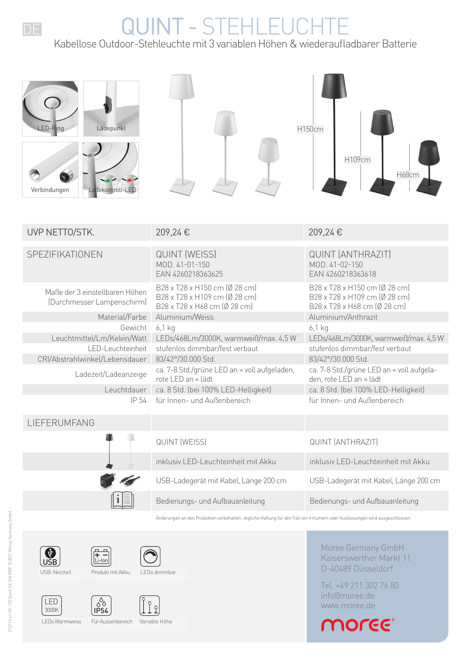## QUINT - STEHLEUCHTE

Kabellose Outdoor-Stehleuchte mit 3 variablen Höhen & wiederaufladbarer Batterie

| Ladepunkt<br>LED-Ring<br>Verbindungen<br>Ladekontroll-LED    |                                                                                                | H150cm<br>H109cm<br>H68cm                                                                      |
|--------------------------------------------------------------|------------------------------------------------------------------------------------------------|------------------------------------------------------------------------------------------------|
| UVP NETTO/STK.                                               | 209,24€                                                                                        | 209,24€                                                                                        |
| SPEZIFIKATIONEN                                              | <b>QUINT (WEISS)</b><br>MOD. 41-01-150<br>EAN 4260218363625                                    | <b>QUINT (ANTHRAZIT)</b><br>MOD. 41-02-150<br>EAN 4260218363618                                |
| Maße der 3 einstellbaren Höhen<br>(Durchmesser Lampenschirm) | B28 x T28 x H150 cm (Ø 28 cm)<br>B28 x T28 x H109 cm (Ø 28 cm)<br>B28 x T28 x H68 cm (Ø 28 cm) | B28 x T28 x H150 cm (Ø 28 cm)<br>B28 x T28 x H109 cm (Ø 28 cm)<br>B28 x T28 x H68 cm (Ø 28 cm) |
| Material/Farbe                                               | Aluminium/Weiss                                                                                | Aluminium/Anthrazit                                                                            |
| Gewicht<br>Leuchtmittel/Lm/Kelvin/Watt                       | $6,1$ kg<br>LEDs/468Lm/3000K, warmweiß/max. 4,5 W                                              | $6,1$ kg<br>LEDs/468Lm/3000K, warmweiß/max. 4,5 W                                              |
| LED-Leuchteinheit                                            | stufenlos dimmbar/fest verbaut                                                                 | stufenlos dimmbar/fest verbaut                                                                 |
| CRI/Abstrahlwinkel/Lebensdauer                               | 83/42°/30.000 Std.                                                                             | 83/42°/30.000 Std.                                                                             |
| Ladezeit/Ladeanzeige                                         | ca. 7-8 Std./grüne LED an = voll aufgeladen,<br>rote LED an = lädt                             | ca. 7-8 Std./grüne LED an = voll aufgela-<br>den, rote LED an = lädt                           |
| Leuchtdauer                                                  | ca. 8 Std. (bei 100% LED-Helligkeit)                                                           | ca. 8 Std. (bei 100% LED-Helligkeit)                                                           |
| IP 54                                                        | für Innen- und Außenbereich                                                                    | für Innen- und Außenbereich                                                                    |
| LIEFERUMFANG                                                 |                                                                                                |                                                                                                |
|                                                              | <b>QUINT (WEISS)</b>                                                                           | <b>QUINT (ANTHRAZIT)</b>                                                                       |
|                                                              | inklusiv LED-Leuchteinheit mit Akku                                                            | inklusiv LED-Leuchteinheit mit Akku                                                            |
|                                                              | USB-Ladegerät mit Kabel, Länge 200 cm                                                          | USB-Ladegerät mit Kabel, Länge 200 cm                                                          |
|                                                              | Bedienungs- und Aufbauanleitung                                                                | Bedienungs- und Aufbauanleitung                                                                |
|                                                              |                                                                                                |                                                                                                |

Änderungen an den Produkten vorbehalten. Jegliche Haftung für den Fall von Irrtümern oder Auslassungen wird ausgeschlossen.



















3000K LED







LEDs Warmweiss Für Aussenbereich Variable Höhe

Moree Germany GmbH Kaiserswerther Markt 11 D-40489 Düsseldorf

Tel. +49 211 302 76 80 info@moree.de www.moree.de

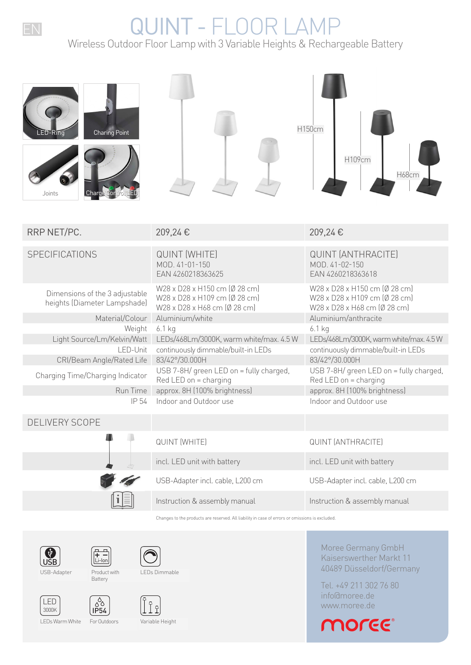## EN QUINT - FLOOR LAMP

Wireless Outdoor Floor Lamp with 3 Variable Heights & Rechargeable Battery

| <b>Charing Point</b><br>ED-Riño<br>Charge<br>Joints            |                                                                                                | H150cm<br>H109cm<br>H68cm                                                                      |
|----------------------------------------------------------------|------------------------------------------------------------------------------------------------|------------------------------------------------------------------------------------------------|
| RRP NET/PC.                                                    | 209,24€                                                                                        | 209,24€                                                                                        |
| SPECIFICATIONS                                                 | <b>QUINT (WHITE)</b><br>MOD. 41-01-150<br>EAN 4260218363625                                    | <b>QUINT (ANTHRACITE)</b><br>MOD. 41-02-150<br>EAN 4260218363618                               |
| Dimensions of the 3 adjustable<br>heights (Diameter Lampshade) | W28 x D28 x H150 cm (Ø 28 cm)<br>W28 x D28 x H109 cm (Ø 28 cm)<br>W28 x D28 x H68 cm (Ø 28 cm) | W28 x D28 x H150 cm (Ø 28 cm)<br>W28 x D28 x H109 cm (Ø 28 cm)<br>W28 x D28 x H68 cm (Ø 28 cm) |
| Material/Colour                                                | Aluminium/white                                                                                | Aluminium/anthracite                                                                           |
| Weight                                                         | $6.1$ kg                                                                                       | $6.1$ kg                                                                                       |
| Light Source/Lm/Kelvin/Watt<br>LED-Unit                        | LEDs/468Lm/3000K, warm white/max. 4.5 W<br>continuously dimmable/built-in LEDs                 | LEDs/468Lm/3000K, warm white/max. 4.5W<br>continuously dimmable/built-in LEDs                  |
| CRI/Beam Angle/Rated Life                                      | 83/42°/30.000H                                                                                 | 83/42°/30.000H                                                                                 |
| Charging Time/Charging Indicator                               | USB 7-8H/ green LED on = fully charged,<br>Red LED on = charging                               | USB 7-8H/ green LED on = fully charged,<br>Red LED on = charging                               |
| Run Time                                                       | approx. 8H (100% brightness)                                                                   | approx. 8H (100% brightness)                                                                   |
| IP 54                                                          | Indoor and Outdoor use                                                                         | Indoor and Outdoor use                                                                         |
| DELIVERY SCOPE                                                 |                                                                                                |                                                                                                |
|                                                                | <b>QUINT (WHITE)</b>                                                                           | <b>QUINT (ANTHRACITE)</b>                                                                      |
|                                                                | incl. LED unit with battery                                                                    | incl. LED unit with battery                                                                    |
|                                                                | USB-Adapter incl. cable, L200 cm                                                               | USB-Adapter incl. cable, L200 cm                                                               |
|                                                                | Instruction & assembly manual                                                                  | Instruction & assembly manual                                                                  |

Changes to the products are reserved. All liability in case of errors or omissions is excluded.



3000K LED





 $\begin{bmatrix} 8 \\ 8 \\ 1 \end{bmatrix}$ 



**Battery** 



Product with







LEDs Warm White For Outdoors

 $\begin{bmatrix} 2 & 1 \\ 0 & 1 \end{bmatrix}$ 

Variable Height

Moree Germany GmbH Kaiserswerther Markt 11 40489 Düsseldorf/Germany

Tel. +49 211 302 76 80 info@moree.de www.moree.de